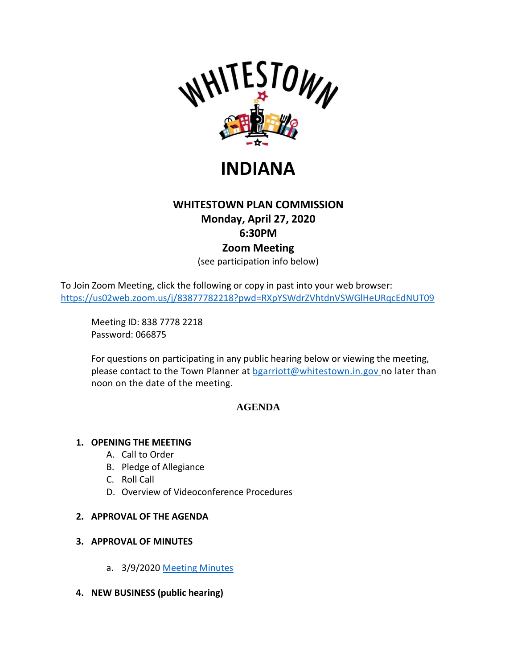



# **WHITESTOWN PLAN COMMISSION Monday, April 27, 2020 6:30PM Zoom Meeting**

(see participation info below)

To Join Zoom Meeting, click the following or copy in past into your web browser: [https://us02web.zoom.us/j/83877782218?pwd=RXpYSWdrZVhtdnVSWGlHeURqcEdNUT09](https://protect-us.mimecast.com/s/TgllCYEQ81Tkk8E8U0fGDx?domain=us02web.zoom.us)

Meeting ID: 838 7778 2218 Password: 066875

For questions on participating in any public hearing below or viewing the meeting, please contact to the Town Planner at **bgarriott@whitestown.in.gov** no later than noon on the date of the meeting.

## **AGENDA**

### **1. OPENING THE MEETING**

- A. Call to Order
- B. Pledge of Allegiance
- C. Roll Call
- D. Overview of Videoconference Procedures

### **2. APPROVAL OF THE AGENDA**

### **3. APPROVAL OF MINUTES**

- a. 3/9/2020 [Meeting Minutes](https://whitestown.in.gov/vertical/sites/%7BB8BE8AC3-9DE8-4247-BCB0-1173F48CC7C3%7D/uploads/03-09-20_WPC_Meeting_Minutes.pdf)
- **4. NEW BUSINESS (public hearing)**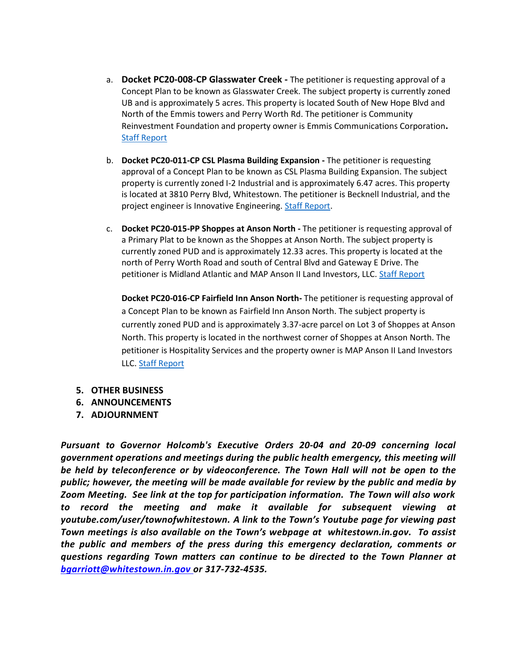- a. **Docket PC20-008-CP Glasswater Creek -** The petitioner is requesting approval of a Concept Plan to be known as Glasswater Creek. The subject property is currently zoned UB and is approximately 5 acres. This property is located South of New Hope Blvd and North of the Emmis towers and Perry Worth Rd. The petitioner is Community Reinvestment Foundation and property owner is Emmis Communications Corporation**.** [Staff Report](https://whitestown.in.gov/vertical/sites/%7BB8BE8AC3-9DE8-4247-BCB0-1173F48CC7C3%7D/uploads/Staff_Report_PC20-008-CP.pdf)
- b. **Docket PC20-011-CP CSL Plasma Building Expansion -** The petitioner is requesting approval of a Concept Plan to be known as CSL Plasma Building Expansion. The subject property is currently zoned I-2 Industrial and is approximately 6.47 acres. This property is located at 3810 Perry Blvd, Whitestown. The petitioner is Becknell Industrial, and the project engineer is Innovative Engineering. [Staff Report.](https://whitestown.in.gov/vertical/sites/%7BB8BE8AC3-9DE8-4247-BCB0-1173F48CC7C3%7D/uploads/Staff_Report_PC20-011-CP.pdf)
- c. **Docket PC20-015-PP Shoppes at Anson North -** The petitioner is requesting approval of a Primary Plat to be known as the Shoppes at Anson North. The subject property is currently zoned PUD and is approximately 12.33 acres. This property is located at the north of Perry Worth Road and south of Central Blvd and Gateway E Drive. The petitioner is Midland Atlantic and MAP Anson II Land Investors, LLC. [Staff Report](https://whitestown.in.gov/vertical/sites/%7BB8BE8AC3-9DE8-4247-BCB0-1173F48CC7C3%7D/uploads/Staff_Report_PC20-015-PP.pdf)

**Docket PC20-016-CP Fairfield Inn Anson North-** The petitioner is requesting approval of a Concept Plan to be known as Fairfield Inn Anson North. The subject property is currently zoned PUD and is approximately 3.37-acre parcel on Lot 3 of Shoppes at Anson North. This property is located in the northwest corner of Shoppes at Anson North. The petitioner is Hospitality Services and the property owner is MAP Anson II Land Investors LLC. [Staff Report](https://whitestown.in.gov/vertical/sites/%7BB8BE8AC3-9DE8-4247-BCB0-1173F48CC7C3%7D/uploads/Staff_Report_PC20-016-CP.pdf)

- **5. OTHER BUSINESS**
- **6. ANNOUNCEMENTS**
- **7. ADJOURNMENT**

*Pursuant to Governor Holcomb's Executive Orders 20-04 and 20-09 concerning local government operations and meetings during the public health emergency, this meeting will be held by teleconference or by videoconference. The Town Hall will not be open to the public; however, the meeting will be made available for review by the public and media by Zoom Meeting. See link at the top for participation information. The Town will also work to record the meeting and make it available for subsequent viewing at youtube.com/user/townofwhitestown. A link to the Town's Youtube page for viewing past Town meetings is also available on the Town's webpage at whitestown.in.gov. To assist the public and members of the press during this emergency declaration, comments or questions regarding Town matters can continue to be directed to the Town Planner at bgarriott@whitestown.in.gov or 317-732-4535.*